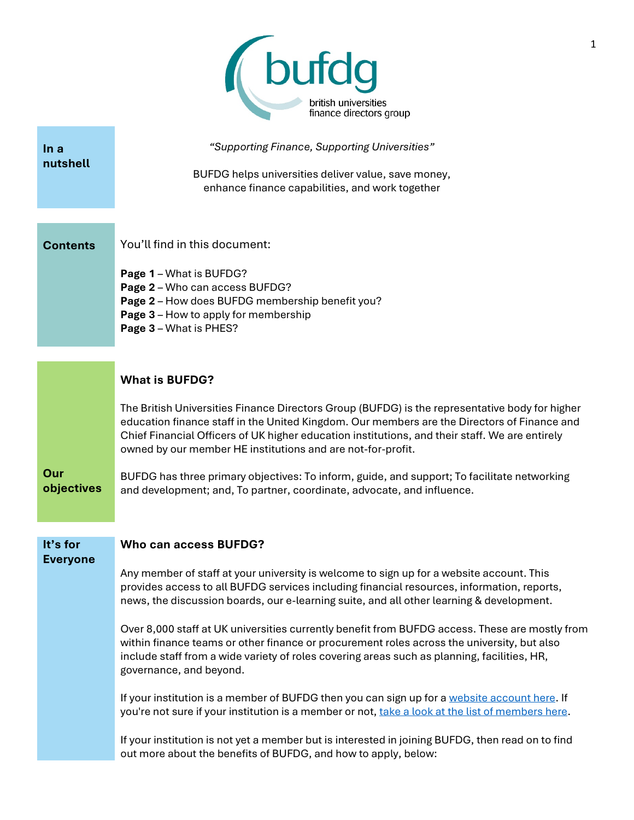

| In a                        | "Supporting Finance, Supporting Universities"                                                                                                                                                 |  |  |  |
|-----------------------------|-----------------------------------------------------------------------------------------------------------------------------------------------------------------------------------------------|--|--|--|
| nutshell                    | BUFDG helps universities deliver value, save money,                                                                                                                                           |  |  |  |
|                             | enhance finance capabilities, and work together                                                                                                                                               |  |  |  |
|                             |                                                                                                                                                                                               |  |  |  |
| <b>Contents</b>             | You'll find in this document:                                                                                                                                                                 |  |  |  |
|                             | Page 1 - What is BUFDG?                                                                                                                                                                       |  |  |  |
|                             | Page 2 - Who can access BUFDG?<br>Page 2 - How does BUFDG membership benefit you?                                                                                                             |  |  |  |
|                             | Page 3 - How to apply for membership                                                                                                                                                          |  |  |  |
|                             | Page 3 - What is PHES?                                                                                                                                                                        |  |  |  |
|                             |                                                                                                                                                                                               |  |  |  |
|                             | <b>What is BUFDG?</b>                                                                                                                                                                         |  |  |  |
|                             | The British Universities Finance Directors Group (BUFDG) is the representative body for higher                                                                                                |  |  |  |
|                             | education finance staff in the United Kingdom. Our members are the Directors of Finance and<br>Chief Financial Officers of UK higher education institutions, and their staff. We are entirely |  |  |  |
|                             | owned by our member HE institutions and are not-for-profit.                                                                                                                                   |  |  |  |
| Our                         | BUFDG has three primary objectives: To inform, guide, and support; To facilitate networking                                                                                                   |  |  |  |
| objectives                  | and development; and, To partner, coordinate, advocate, and influence.                                                                                                                        |  |  |  |
|                             |                                                                                                                                                                                               |  |  |  |
| It's for<br><b>Everyone</b> | Who can access BUFDG?                                                                                                                                                                         |  |  |  |
|                             | Any member of staff at your university is welcome to sign up for a website account. This                                                                                                      |  |  |  |
|                             | provides access to all BUFDG services including financial resources, information, reports,<br>news, the discussion boards, our e-learning suite, and all other learning & development.        |  |  |  |
|                             | Over 8,000 staff at UK universities currently benefit from BUFDG access. These are mostly from                                                                                                |  |  |  |
|                             | within finance teams or other finance or procurement roles across the university, but also<br>include staff from a wide variety of roles covering areas such as planning, facilities, HR,     |  |  |  |
|                             | governance, and beyond.                                                                                                                                                                       |  |  |  |
|                             | If your institution is a member of BUFDG then you can sign up for a website account here. If                                                                                                  |  |  |  |
|                             | you're not sure if your institution is a member or not, take a look at the list of members here.                                                                                              |  |  |  |
|                             | If your institution is not yet a member but is interested in joining BUFDG, then read on to find                                                                                              |  |  |  |
|                             | out more about the benefits of BUFDG, and how to apply, below:                                                                                                                                |  |  |  |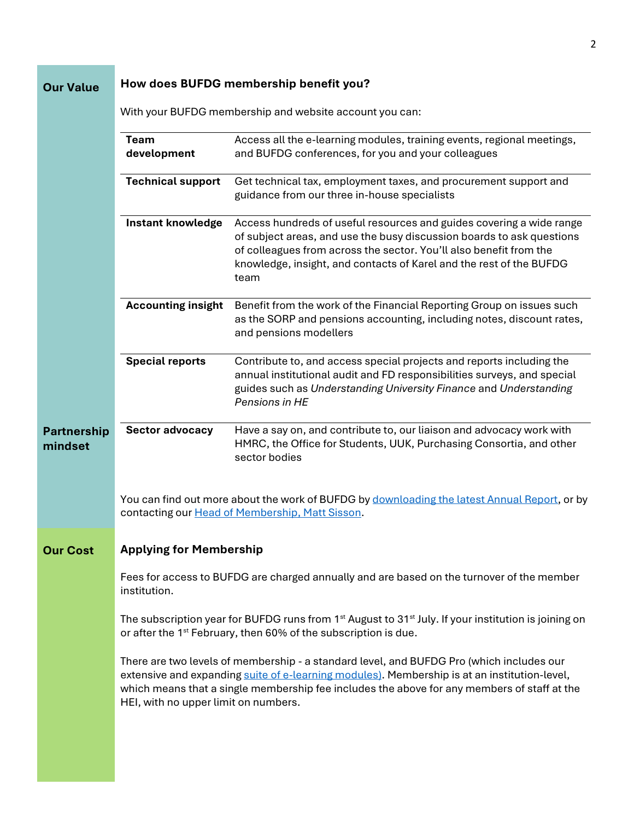$\overline{c}$ 

| <b>Our Value</b>              | How does BUFDG membership benefit you?                                                                                                                                                                                                                                                                                          |                                                                                                                                                                                                                                                                                                    |  |  |  |
|-------------------------------|---------------------------------------------------------------------------------------------------------------------------------------------------------------------------------------------------------------------------------------------------------------------------------------------------------------------------------|----------------------------------------------------------------------------------------------------------------------------------------------------------------------------------------------------------------------------------------------------------------------------------------------------|--|--|--|
|                               | With your BUFDG membership and website account you can:                                                                                                                                                                                                                                                                         |                                                                                                                                                                                                                                                                                                    |  |  |  |
|                               | <b>Team</b><br>development                                                                                                                                                                                                                                                                                                      | Access all the e-learning modules, training events, regional meetings,<br>and BUFDG conferences, for you and your colleagues                                                                                                                                                                       |  |  |  |
|                               | <b>Technical support</b>                                                                                                                                                                                                                                                                                                        | Get technical tax, employment taxes, and procurement support and<br>guidance from our three in-house specialists                                                                                                                                                                                   |  |  |  |
|                               | <b>Instant knowledge</b>                                                                                                                                                                                                                                                                                                        | Access hundreds of useful resources and guides covering a wide range<br>of subject areas, and use the busy discussion boards to ask questions<br>of colleagues from across the sector. You'll also benefit from the<br>knowledge, insight, and contacts of Karel and the rest of the BUFDG<br>team |  |  |  |
|                               | <b>Accounting insight</b>                                                                                                                                                                                                                                                                                                       | Benefit from the work of the Financial Reporting Group on issues such<br>as the SORP and pensions accounting, including notes, discount rates,<br>and pensions modellers                                                                                                                           |  |  |  |
|                               | <b>Special reports</b>                                                                                                                                                                                                                                                                                                          | Contribute to, and access special projects and reports including the<br>annual institutional audit and FD responsibilities surveys, and special<br>guides such as Understanding University Finance and Understanding<br>Pensions in HE                                                             |  |  |  |
| <b>Partnership</b><br>mindset | Sector advocacy                                                                                                                                                                                                                                                                                                                 | Have a say on, and contribute to, our liaison and advocacy work with<br>HMRC, the Office for Students, UUK, Purchasing Consortia, and other<br>sector bodies                                                                                                                                       |  |  |  |
|                               |                                                                                                                                                                                                                                                                                                                                 | You can find out more about the work of BUFDG by downloading the latest Annual Report, or by<br>contacting our Head of Membership, Matt Sisson.                                                                                                                                                    |  |  |  |
| <b>Our Cost</b>               | <b>Applying for Membership</b>                                                                                                                                                                                                                                                                                                  |                                                                                                                                                                                                                                                                                                    |  |  |  |
|                               | Fees for access to BUFDG are charged annually and are based on the turnover of the member<br>institution.<br>The subscription year for BUFDG runs from 1 <sup>st</sup> August to 31 <sup>st</sup> July. If your institution is joining on<br>or after the 1 <sup>st</sup> February, then 60% of the subscription is due.        |                                                                                                                                                                                                                                                                                                    |  |  |  |
|                               |                                                                                                                                                                                                                                                                                                                                 |                                                                                                                                                                                                                                                                                                    |  |  |  |
|                               | There are two levels of membership - a standard level, and BUFDG Pro (which includes our<br>extensive and expanding suite of e-learning modules). Membership is at an institution-level,<br>which means that a single membership fee includes the above for any members of staff at the<br>HEI, with no upper limit on numbers. |                                                                                                                                                                                                                                                                                                    |  |  |  |
|                               |                                                                                                                                                                                                                                                                                                                                 |                                                                                                                                                                                                                                                                                                    |  |  |  |